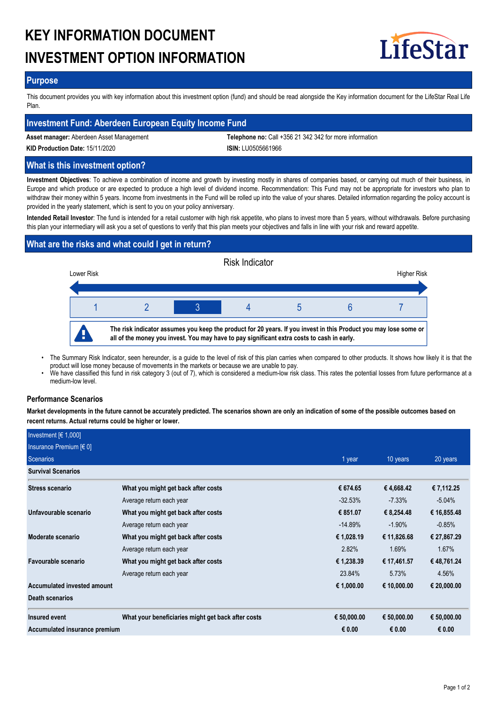# **KEY INFORMATION DOCUMENT INVESTMENT OPTION INFORMATION**



## **Purpose**

This document provides you with key information about this investment option (fund) and should be read alongside the Key information document for the LifeStar Real Life Plan.

## **Investment Fund: Aberdeen European Equity Income Fund**

**Asset manager:** Aberdeen Asset Management **Telephone no:** Call +356 21 342 342 for more information

**KID Production Date:** 15/11/2020 **ISIN:** LU0505661966

## **What is this investment option?**

**Investment Objectives**: To achieve a combination of income and growth by investing mostly in shares of companies based, or carrying out much of their business, in Europe and which produce or are expected to produce a high level of dividend income. Recommendation: This Fund may not be appropriate for investors who plan to withdraw their money within 5 years. Income from investments in the Fund will be rolled up into the value of your shares. Detailed information regarding the policy account is provided in the yearly statement, which is sent to you on your policy anniversary.

**Intended Retail Investor**: The fund is intended for a retail customer with high risk appetite, who plans to invest more than 5 years, without withdrawals. Before purchasing this plan your intermediary will ask you a set of questions to verify that this plan meets your objectives and falls in line with your risk and reward appetite.

# **What are the risks and what could I get in return?**



- The Summary Risk Indicator, seen hereunder, is a guide to the level of risk of this plan carries when compared to other products. It shows how likely it is that the product will lose money because of movements in the markets or because we are unable to pay. •
- We have classified this fund in risk category 3 (out of 7), which is considered a medium-low risk class. This rates the potential losses from future performance at a medium-low level. •

## **Performance Scenarios**

**Market developments in the future cannot be accurately predicted. The scenarios shown are only an indication of some of the possible outcomes based on recent returns. Actual returns could be higher or lower.**

| Investment $F(1,000)$         |                                                    |             |             |             |
|-------------------------------|----------------------------------------------------|-------------|-------------|-------------|
| Insurance Premium [€ 0]       |                                                    |             |             |             |
| Scenarios                     |                                                    | 1 year      | 10 years    | 20 years    |
| <b>Survival Scenarios</b>     |                                                    |             |             |             |
| Stress scenario               | What you might get back after costs                | € 674.65    | €4,668.42   | €7,112.25   |
|                               | Average return each year                           | $-32.53\%$  | $-7.33\%$   | $-5.04\%$   |
| Unfavourable scenario         | What you might get back after costs                | € 851.07    | € 8,254.48  | € 16,855.48 |
|                               | Average return each year                           | $-14.89\%$  | $-1.90\%$   | $-0.85%$    |
| Moderate scenario             | What you might get back after costs                | € 1,028.19  | € 11,826.68 | € 27,867.29 |
|                               | Average return each year                           | 2.82%       | 1.69%       | 1.67%       |
| Favourable scenario           | What you might get back after costs                | € 1,238.39  | € 17,461.57 | € 48,761.24 |
|                               | Average return each year                           | 23.84%      | 5.73%       | 4.56%       |
| Accumulated invested amount   |                                                    | € 1,000.00  | € 10,000.00 | € 20,000.00 |
| Death scenarios               |                                                    |             |             |             |
| Insured event                 | What your beneficiaries might get back after costs | € 50,000.00 | € 50,000.00 | € 50,000.00 |
| Accumulated insurance premium |                                                    | € 0.00      | € 0.00      | € 0.00      |